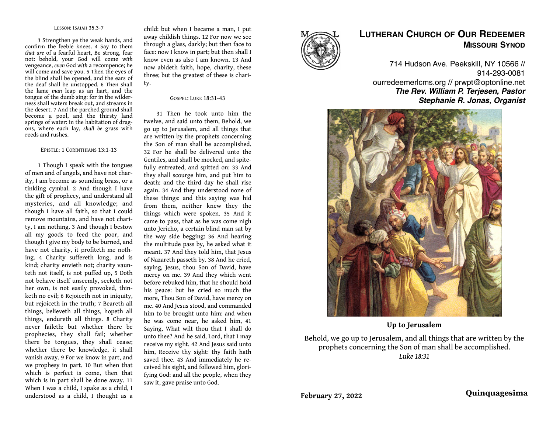#### LESSON: ISAIAH 35.3-7

3 Strengthen ye the weak hands, and confirm the feeble knees. 4 Say to them *that are* of a fearful heart, Be strong, fear not: behold, your God will come *with*  vengeance, *even* God *with* a recompence; he will come and save you. 5 Then the eyes of the blind shall be opened, and the ears of the deaf shall be unstopped. 6 Then shall the lame *man* leap as an hart, and the tongue of the dumb sing: for in the wilderness shall waters break out, and streams in the desert. 7 And the parched ground shall become a pool, and the thirsty land springs of water: in the habitation of dragons, where each lay, *shall be* grass with reeds and rushes.

### EPISTLE: 1 CORINTHIANS 13:1-13

1 Though I speak with the tongues of men and of angels, and have not charity, I am become as sounding brass, or a tinkling cymbal. 2 And though I have the gift of prophecy, and understand all mysteries, and all knowledge; and though I have all faith, so that I could remove mountains, and have not charity, I am nothing. 3 And though I bestow all my goods to feed the poor, and though I give my body to be burned, and have not charity, it profiteth me nothing. 4 Charity suffereth long, and is kind; charity envieth not; charity vaunteth not itself, is not puffed up, 5 Doth not behave itself unseemly, seeketh not her own, is not easily provoked, thinketh no evil; 6 Rejoiceth not in iniquity, but rejoiceth in the truth; 7 Beareth all things, believeth all things, hopeth all things, endureth all things. 8 Charity never faileth: but whether there be prophecies, they shall fail; whether there be tongues, they shall cease; whether there be knowledge, it shall vanish away. 9 For we know in part, and we prophesy in part. 10 But when that which is perfect is come, then that which is in part shall be done away. 11 When I was a child, I spake as a child, I understood as a child, I thought as a

child: but when I became a man, I put away childish things. 12 For now we see through a glass, darkly; but then face to face: now I know in part; but then shall I know even as also I am known. 13 And now abideth faith, hope, charity, these three; but the greatest of these is charity.

### GOSPEL: LUKE 18:31-43

31 Then he took unto him the twelve, and said unto them, Behold, we go up to Jerusalem, and all things that are written by the prophets concerning the Son of man shall be accomplished. 32 For he shall be delivered unto the Gentiles, and shall be mocked, and spitefully entreated, and spitted on: 33 And they shall scourge him, and put him to death: and the third day he shall rise again. 34 And they understood none of these things: and this saying was hid from them, neither knew they the things which were spoken. 35 And it came to pass, that as he was come nigh unto Jericho, a certain blind man sat by the way side begging: 36 And hearing the multitude pass by, he asked what it meant. 37 And they told him, that Jesus of Nazareth passeth by. 38 And he cried, saying, Jesus, thou Son of David, have mercy on me. 39 And they which went before rebuked him, that he should hold his peace: but he cried so much the more, Thou Son of David, have mercy on me. 40 And Jesus stood, and commanded him to be brought unto him: and when he was come near, he asked him, 41 Saying, What wilt thou that I shall do unto thee? And he said, Lord, that I may receive my sight. 42 And Jesus said unto him, Receive thy sight: thy faith hath saved thee. 43 And immediately he received his sight, and followed him, glorifying God: and all the people, when they saw it, gave praise unto God.



# **LUTHERAN CHURCH OF OUR REDEEMER MISSOURI SYNOD**

714 Hudson Ave. Peekskill, NY 10566 // 914-293-0081 ourredeemerlcms.org // prwpt@optonline.net *The Rev. William P. Terjesen, Pastor Stephanie R. Jonas, Organist*



**Up to Jerusalem**

Behold, we go up to Jerusalem, and all things that are written by the prophets concerning the Son of man shall be accomplished. *Luke 18:31*

**February 27, 2022 Quinquagesima**